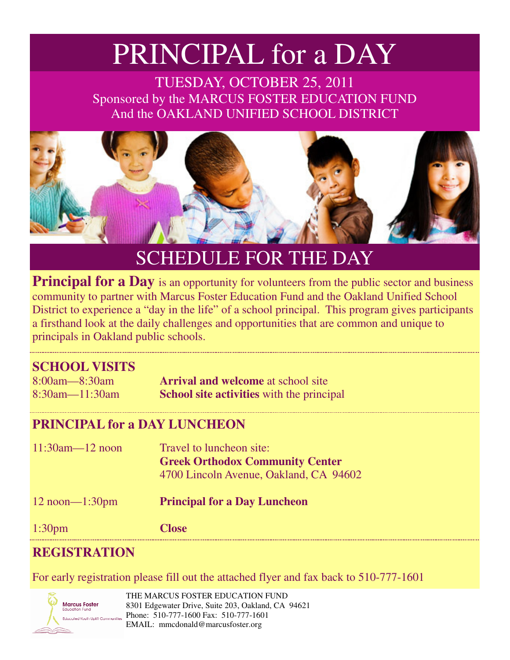# PRINCIPAL for a DAY

TUESDAY, OCTOBER 25, 2011 Sponsored by the MARCUS FOSTER EDUCATION FUND And the OAKLAND UNIFIED SCHOOL DISTRICT



## SCHEDULE FOR THE DAY

**Principal for a Day** is an opportunity for volunteers from the public sector and business community to partner with Marcus Foster Education Fund and the Oakland Unified School District to experience a "day in the life" of a school principal. This program gives participants a firsthand look at the daily challenges and opportunities that are common and unique to principals in Oakland public schools.

### **SCHOOL VISITS**

| $8:00am - 8:30am$     | <b>Arrival and welcome</b> at school site        |
|-----------------------|--------------------------------------------------|
| $8:30$ am— $11:30$ am | <b>School site activities</b> with the principal |

#### **PRINCIPAL for a DAY LUNCHEON**

| $11:30$ am— $12$ noon | Travel to luncheon site:<br><b>Greek Orthodox Community Center</b><br>4700 Lincoln Avenue, Oakland, CA 94602 |
|-----------------------|--------------------------------------------------------------------------------------------------------------|
| $12$ noon— $1:30$ pm  | <b>Principal for a Day Luncheon</b>                                                                          |

1:30pm **Close** 

### **REGISTRATION**

For early registration please fill out the attached flyer and fax back to 510-777-1601



THE MARCUS FOSTER EDUCATION FUND 8301 Edgewater Drive, Suite 203, Oakland, CA 94621 Phone: 510-777-1600 Fax: 510-777-1601 EMAIL: mmcdonald@marcusfoster.org